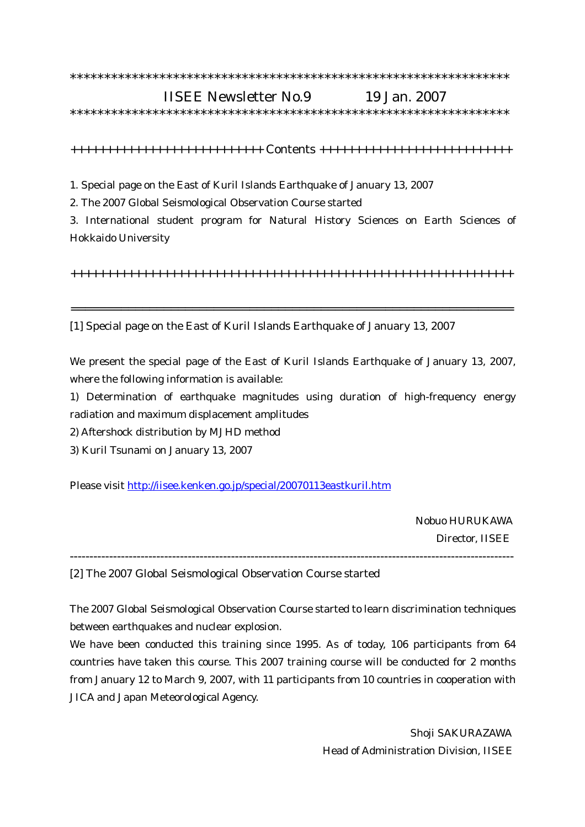## \*\*\*\*\*\*\*\*\*\*\*\*\*\*\*\*\*\*\*\*\*\*\*\*\*\*\*\*\*\*\*\*\*\*\*\*\*\*\*\*\*\*\*\*\*\*\*\*\*\*\*\*\*\*\*\*\*\*\*\*\*\*\*\* IISEE Newsletter No.9 19 Jan. 2007

\*\*\*\*\*\*\*\*\*\*\*\*\*\*\*\*\*\*\*\*\*\*\*\*\*\*\*\*\*\*\*\*\*\*\*\*\*\*\*\*\*\*\*\*\*\*\*\*\*\*\*\*\*\*\*\*\*\*\*\*\*\*\*\*

+++++++++++++++++++++++++++ Contents +++++++++++++++++++++++++++

1. Special page on the East of Kuril Islands Earthquake of January 13, 2007

2. The 2007 Global Seismological Observation Course started

3. International student program for Natural History Sciences on Earth Sciences of Hokkaido University

++++++++++++++++++++++++++++++++++++++++++++++++++++++++++++++

==============================================================

[1] Special page on the East of Kuril Islands Earthquake of January 13, 2007

We present the special page of the East of Kuril Islands Earthquake of January 13, 2007, where the following information is available:

1) Determination of earthquake magnitudes using duration of high-frequency energy radiation and maximum displacement amplitudes

2) Aftershock distribution by MJHD method

3) Kuril Tsunami on January 13, 2007

Please visit http://iisee.kenken.go.jp/special/20070113eastkuril.htm

 Nobuo HURUKAWA Director, IISEE

[2] The 2007 Global Seismological Observation Course started

The 2007 Global Seismological Observation Course started to learn discrimination techniques between earthquakes and nuclear explosion.

-----------------------------------------------------------------------------------------------------------------

We have been conducted this training since 1995. As of today, 106 participants from 64 countries have taken this course. This 2007 training course will be conducted for 2 months from January 12 to March 9, 2007, with 11 participants from 10 countries in cooperation with JICA and Japan Meteorological Agency.

> Shoji SAKURAZAWA Head of Administration Division, IISEE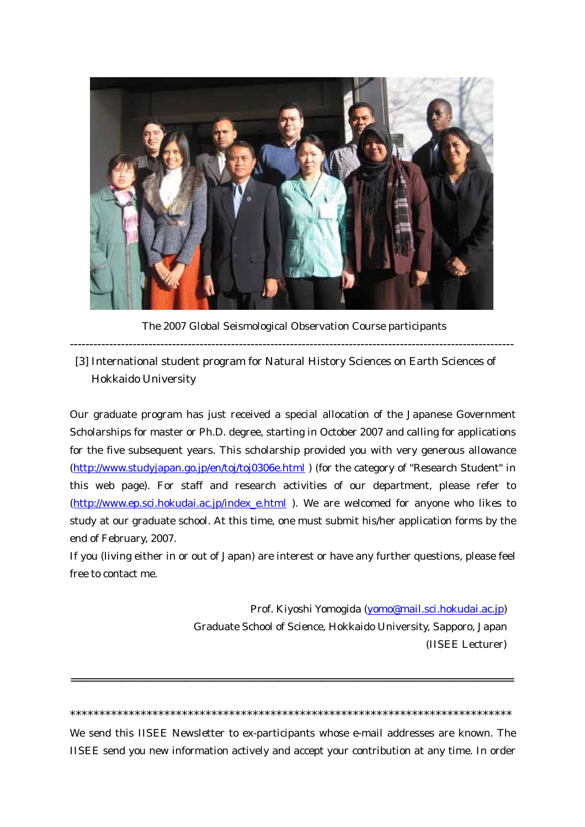

The 2007 Global Seismological Observation Course participants

[3] International student program for Natural History Sciences on Earth Sciences of **Hokkaido University** 

Our graduate program has just received a special allocation of the Japanese Government Scholarships for master or Ph.D. degree, starting in October 2007 and calling for applications for the five subsequent years. This scholarship provided you with very generous allowance (http://www.studyjapan.go.jp/en/toj/toj0306e.html ) (for the category of "Research Student" in this web page). For staff and research activities of our department, please refer to (http://www.ep.sci.hokudai.ac.jp/index\_e.html). We are welcomed for anyone who likes to study at our graduate school. At this time, one must submit his/her application forms by the end of February, 2007.

If you (living either in or out of Japan) are interest or have any further questions, please feel free to contact me.

> Prof. Kiyoshi Yomogida (yomo@mail.sci.hokudai.ac.jp) Graduate School of Science, Hokkaido University, Sapporo, Japan (IISEE Lecturer)

We send this IISEE Newsletter to ex-participants whose e-mail addresses are known. The IISEE send you new information actively and accept your contribution at any time. In order